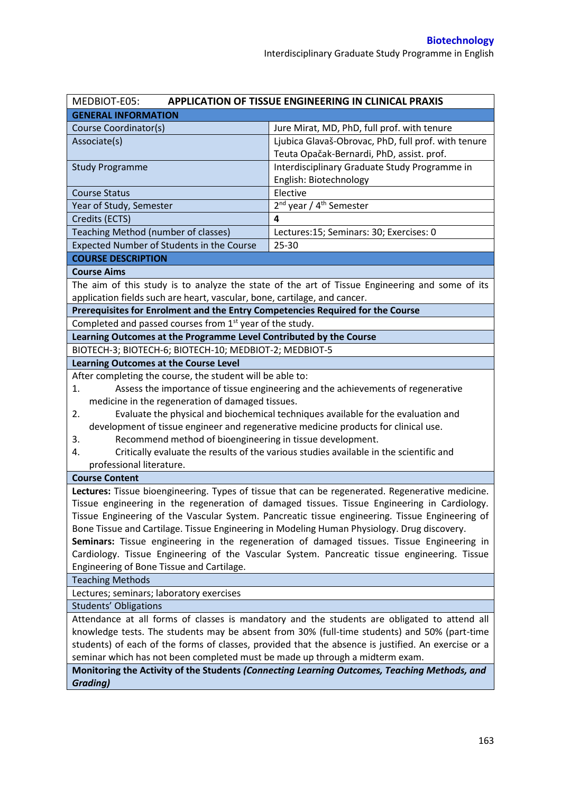| APPLICATION OF TISSUE ENGINEERING IN CLINICAL PRAXIS<br>MEDBIOT-E05:                                                                                                                                |                                                                                                  |  |  |  |
|-----------------------------------------------------------------------------------------------------------------------------------------------------------------------------------------------------|--------------------------------------------------------------------------------------------------|--|--|--|
| <b>GENERAL INFORMATION</b>                                                                                                                                                                          |                                                                                                  |  |  |  |
| Course Coordinator(s)                                                                                                                                                                               | Jure Mirat, MD, PhD, full prof. with tenure                                                      |  |  |  |
| Associate(s)                                                                                                                                                                                        | Ljubica Glavaš-Obrovac, PhD, full prof. with tenure                                              |  |  |  |
|                                                                                                                                                                                                     | Teuta Opačak-Bernardi, PhD, assist. prof.                                                        |  |  |  |
| <b>Study Programme</b>                                                                                                                                                                              | Interdisciplinary Graduate Study Programme in                                                    |  |  |  |
|                                                                                                                                                                                                     | English: Biotechnology                                                                           |  |  |  |
| <b>Course Status</b>                                                                                                                                                                                | Elective                                                                                         |  |  |  |
| Year of Study, Semester                                                                                                                                                                             | 2 <sup>nd</sup> year / 4 <sup>th</sup> Semester                                                  |  |  |  |
| Credits (ECTS)                                                                                                                                                                                      | $\overline{\mathbf{A}}$                                                                          |  |  |  |
| Teaching Method (number of classes)                                                                                                                                                                 | Lectures:15; Seminars: 30; Exercises: 0                                                          |  |  |  |
| Expected Number of Students in the Course                                                                                                                                                           | 25-30                                                                                            |  |  |  |
| <b>COURSE DESCRIPTION</b>                                                                                                                                                                           |                                                                                                  |  |  |  |
| <b>Course Aims</b>                                                                                                                                                                                  |                                                                                                  |  |  |  |
|                                                                                                                                                                                                     | The aim of this study is to analyze the state of the art of Tissue Engineering and some of its   |  |  |  |
| application fields such are heart, vascular, bone, cartilage, and cancer.                                                                                                                           |                                                                                                  |  |  |  |
| Prerequisites for Enrolment and the Entry Competencies Required for the Course                                                                                                                      |                                                                                                  |  |  |  |
| Completed and passed courses from 1 <sup>st</sup> year of the study.                                                                                                                                |                                                                                                  |  |  |  |
| Learning Outcomes at the Programme Level Contributed by the Course                                                                                                                                  |                                                                                                  |  |  |  |
| BIOTECH-3; BIOTECH-6; BIOTECH-10; MEDBIOT-2; MEDBIOT-5                                                                                                                                              |                                                                                                  |  |  |  |
| <b>Learning Outcomes at the Course Level</b>                                                                                                                                                        |                                                                                                  |  |  |  |
| After completing the course, the student will be able to:                                                                                                                                           |                                                                                                  |  |  |  |
| 1.                                                                                                                                                                                                  | Assess the importance of tissue engineering and the achievements of regenerative                 |  |  |  |
| medicine in the regeneration of damaged tissues.                                                                                                                                                    |                                                                                                  |  |  |  |
| 2.                                                                                                                                                                                                  | Evaluate the physical and biochemical techniques available for the evaluation and                |  |  |  |
| development of tissue engineer and regenerative medicine products for clinical use.                                                                                                                 |                                                                                                  |  |  |  |
| Recommend method of bioengineering in tissue development.<br>3.                                                                                                                                     |                                                                                                  |  |  |  |
| 4.                                                                                                                                                                                                  | Critically evaluate the results of the various studies available in the scientific and           |  |  |  |
| professional literature.                                                                                                                                                                            |                                                                                                  |  |  |  |
| <b>Course Content</b>                                                                                                                                                                               |                                                                                                  |  |  |  |
|                                                                                                                                                                                                     | Lectures: Tissue bioengineering. Types of tissue that can be regenerated. Regenerative medicine. |  |  |  |
| Tissue engineering in the regeneration of damaged tissues. Tissue Engineering in Cardiology.                                                                                                        |                                                                                                  |  |  |  |
| Tissue Engineering of the Vascular System. Pancreatic tissue engineering. Tissue Engineering of                                                                                                     |                                                                                                  |  |  |  |
| Bone Tissue and Cartilage. Tissue Engineering in Modeling Human Physiology. Drug discovery.                                                                                                         |                                                                                                  |  |  |  |
| Seminars: Tissue engineering in the regeneration of damaged tissues. Tissue Engineering in                                                                                                          |                                                                                                  |  |  |  |
| Cardiology. Tissue Engineering of the Vascular System. Pancreatic tissue engineering. Tissue                                                                                                        |                                                                                                  |  |  |  |
| Engineering of Bone Tissue and Cartilage.                                                                                                                                                           |                                                                                                  |  |  |  |
| <b>Teaching Methods</b>                                                                                                                                                                             |                                                                                                  |  |  |  |
| Lectures; seminars; laboratory exercises                                                                                                                                                            |                                                                                                  |  |  |  |
| <b>Students' Obligations</b>                                                                                                                                                                        |                                                                                                  |  |  |  |
| Attendance at all forms of classes is mandatory and the students are obligated to attend all                                                                                                        |                                                                                                  |  |  |  |
| knowledge tests. The students may be absent from 30% (full-time students) and 50% (part-time<br>students) of each of the forms of classes, provided that the absence is justified. An exercise or a |                                                                                                  |  |  |  |
| seminar which has not been completed must be made up through a midterm exam.                                                                                                                        |                                                                                                  |  |  |  |
| Monitoring the Activity of the Students (Connecting Learning Outcomes, Teaching Methods, and                                                                                                        |                                                                                                  |  |  |  |
| <b>Grading)</b>                                                                                                                                                                                     |                                                                                                  |  |  |  |